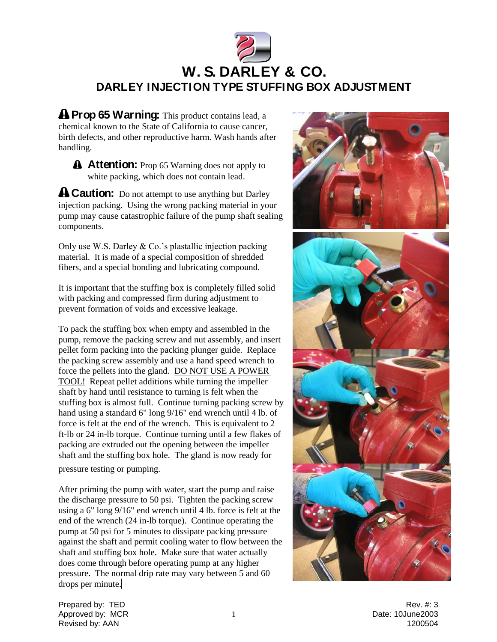

**A** Prop 65 Warning: This product contains lead, a chemical known to the State of California to cause cancer, birth defects, and other reproductive harm. Wash hands after handling.

**A Caution:** Do not attempt to use anything but Darley injection packing. Using the wrong packing material in your pump may cause catastrophic failure of the pump shaft sealing components.

Only use W.S. Darley & Co.'s plastallic injection packing material. It is made of a special composition of shredded fibers, and a special bonding and lubricating compound.

It is important that the stuffing box is completely filled solid with packing and compressed firm during adjustment to prevent formation of voids and excessive leakage.

To pack the stuffing box when empty and assembled in the pump, remove the packing screw and nut assembly, and insert pellet form packing into the packing plunger guide. Replace the packing screw assembly and use a hand speed wrench to force the pellets into the gland. DO NOT USE A POWER TOOL! Repeat pellet additions while turning the impeller shaft by hand until resistance to turning is felt when the stuffing box is almost full. Continue turning packing screw by hand using a standard 6" long 9/16" end wrench until 4 lb. of force is felt at the end of the wrench. This is equivalent to 2 ft-lb or 24 in-lb torque. Continue turning until a few flakes of packing are extruded out the opening between the impeller shaft and the stuffing box hole. The gland is now ready for

pressure testing or pumping.

After priming the pump with water, start the pump and raise the discharge pressure to 50 psi. Tighten the packing screw using a 6" long 9/16" end wrench until 4 lb. force is felt at the end of the wrench (24 in-lb torque). Continue operating the pump at 50 psi for 5 minutes to dissipate packing pressure against the shaft and permit cooling water to flow between the shaft and stuffing box hole. Make sure that water actually does come through before operating pump at any higher pressure. The normal drip rate may vary between 5 and 60 drops per minute.



Prepared by: TED Rev. #: 3 Approved by: MCR 1 Date: 10June2003 Revised by: AAN 1200504

**A** Attention: Prop 65 Warning does not apply to white packing, which does not contain lead.